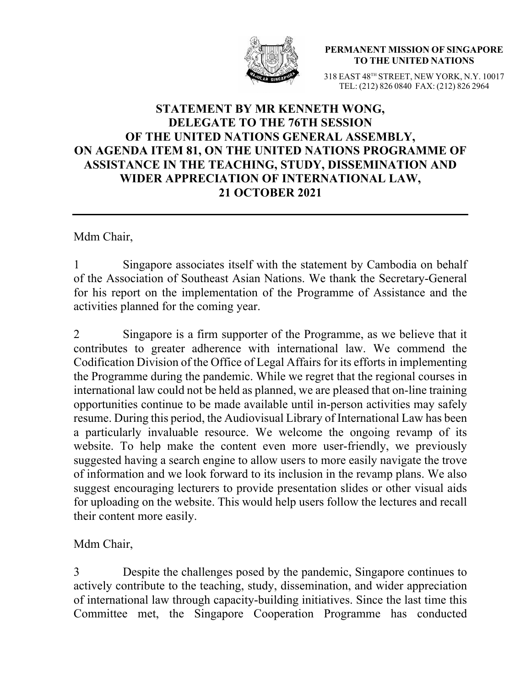

**PERMANENT MISSION OF SINGAPORE TO THE UNITED NATIONS**

318 EAST 48TH STREET, NEW YORK, N.Y. 10017 TEL: (212) 826 0840 FAX: (212) 826 2964

## **STATEMENT BY MR KENNETH WONG, DELEGATE TO THE 76TH SESSION OF THE UNITED NATIONS GENERAL ASSEMBLY, ON AGENDA ITEM 81, ON THE UNITED NATIONS PROGRAMME OF ASSISTANCE IN THE TEACHING, STUDY, DISSEMINATION AND WIDER APPRECIATION OF INTERNATIONAL LAW, 21 OCTOBER 2021**

Mdm Chair,

1 Singapore associates itself with the statement by Cambodia on behalf of the Association of Southeast Asian Nations. We thank the Secretary-General for his report on the implementation of the Programme of Assistance and the activities planned for the coming year.

2 Singapore is a firm supporter of the Programme, as we believe that it contributes to greater adherence with international law. We commend the Codification Division of the Office of Legal Affairs for its efforts in implementing the Programme during the pandemic. While we regret that the regional courses in international law could not be held as planned, we are pleased that on-line training opportunities continue to be made available until in-person activities may safely resume. During this period, the Audiovisual Library of International Law has been a particularly invaluable resource. We welcome the ongoing revamp of its website. To help make the content even more user-friendly, we previously suggested having a search engine to allow users to more easily navigate the trove of information and we look forward to its inclusion in the revamp plans. We also suggest encouraging lecturers to provide presentation slides or other visual aids for uploading on the website. This would help users follow the lectures and recall their content more easily.

Mdm Chair,

3 Despite the challenges posed by the pandemic, Singapore continues to actively contribute to the teaching, study, dissemination, and wider appreciation of international law through capacity-building initiatives. Since the last time this Committee met, the Singapore Cooperation Programme has conducted